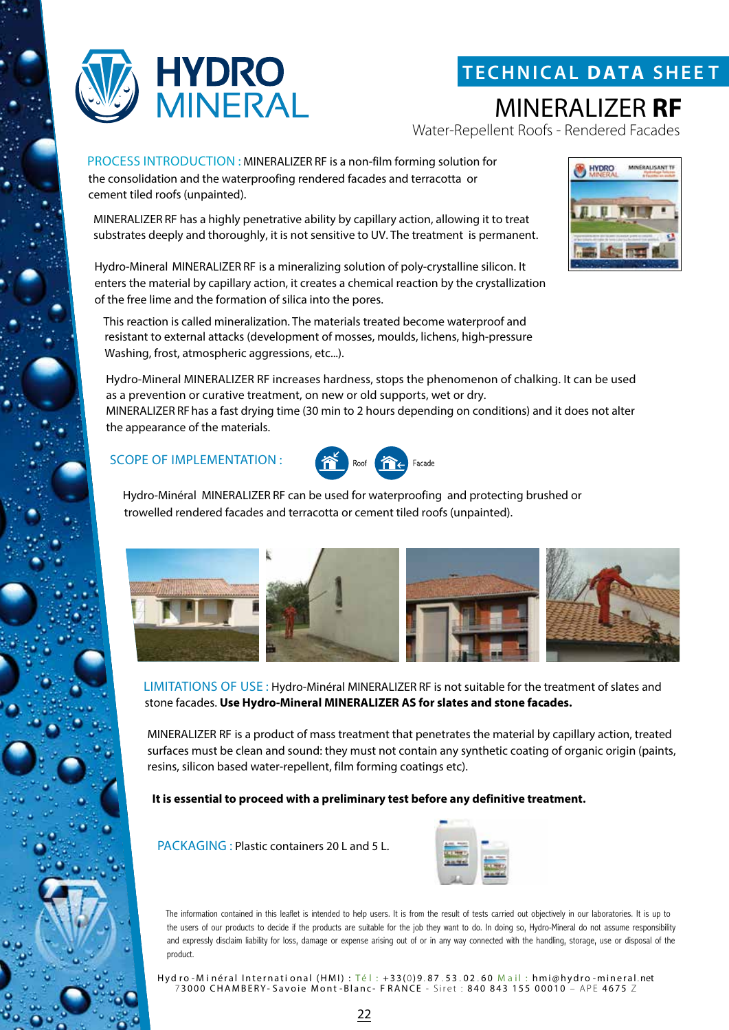

## **T ECHNICAL DATA SHEE T**

MINERALIZER **RF**

Water-Repellent Roofs - Rendered Facades

PROCESS INTRODUCTION : MINERALIZER RF is a non-film forming solution for the consolidation and the waterproofing rendered facades and terracotta or cement tiled roofs (unpainted).

MINERALIZER RF has a highly penetrative ability by capillary action, allowing it to treat substrates deeply and thoroughly, it is not sensitive to UV. The treatment is permanent.

Hydro-Mineral MINERALIZER RF is a mineralizing solution of poly-crystalline silicon. It enters the material by capillary action, it creates a chemical reaction by the crystallization of the free lime and the formation of silica into the pores.

This reaction is called mineralization. The materials treated become waterproof and resistant to external attacks (development of mosses, moulds, lichens, high-pressure Washing, frost, atmospheric aggressions, etc...).

Hydro-Mineral MINERALIZER RF increases hardness, stops the phenomenon of chalking. It can be used as a prevention or curative treatment, on new or old supports, wet or dry. MINERALIZER RFhas a fast drying time (30 min to 2 hours depending on conditions) and it does not alter the appearance of the materials.

#### SCOPE OF IMPLEMENTATION :



Hydro-Minéral MINERALIZER RF can be used for waterproofing and protecting brushed or trowelled rendered facades and terracotta or cement tiled roofs (unpainted).



LIMITATIONS OF USE : Hydro-Minéral MINERALIZER RF is not suitable for the treatment of slates and stone facades. **Use Hydro-Mineral MINERALIZER AS for slates and stone facades.** 

MINERALIZER RF is a product of mass treatment that penetrates the material by capillary action, treated surfaces must be clean and sound: they must not contain any synthetic coating of organic origin (paints, resins, silicon based water-repellent, film forming coatings etc).

**It is essential to proceed with a preliminary test before any definitive treatment.**

PACKAGING : Plastic containers 20 L and 5 L.



The information contained in this leaflet is intended to help users. It is from the result of tests carried out objectively in our laboratories. It is up to the users of our products to decide if the products are suitable for the job they want to do. In doing so, Hydro-Mineral do not assume responsibility and expressly disclaim liability for loss, damage or expense arising out of or in any way connected with the handling, storage, use or disposal of the product.

Hyd ro - Minéral International (HMI) : Té l : +33(0)9.87.53.02.60 Mail : hmi@hydro -mineral.net 7 3000 CHAMBERY- Savoie Mont -Blanc- F RANCE - Siret : 840 843 155 00010 – APE 4675 Z